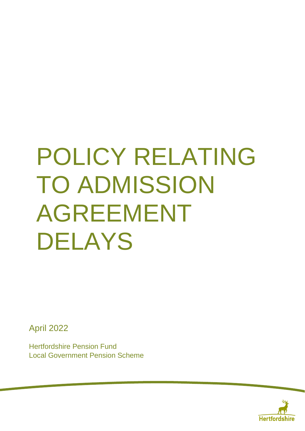# POLICY RELATING TO ADMISSION AGREEMENT DELAYS

April 2022

Hertfordshire Pension Fund Local Government Pension Scheme

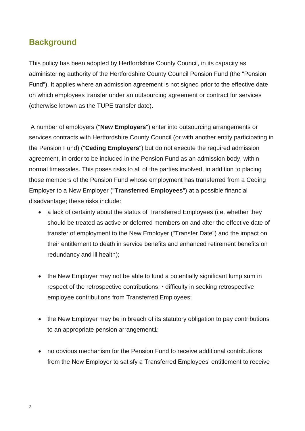## **Background**

This policy has been adopted by Hertfordshire County Council, in its capacity as administering authority of the Hertfordshire County Council Pension Fund (the "Pension Fund"). It applies where an admission agreement is not signed prior to the effective date on which employees transfer under an outsourcing agreement or contract for services (otherwise known as the TUPE transfer date).

A number of employers ("**New Employers**") enter into outsourcing arrangements or services contracts with Hertfordshire County Council (or with another entity participating in the Pension Fund) ("**Ceding Employers**") but do not execute the required admission agreement, in order to be included in the Pension Fund as an admission body, within normal timescales. This poses risks to all of the parties involved, in addition to placing those members of the Pension Fund whose employment has transferred from a Ceding Employer to a New Employer ("**Transferred Employees**") at a possible financial disadvantage; these risks include:

- a lack of certainty about the status of Transferred Employees (i.e. whether they should be treated as active or deferred members on and after the effective date of transfer of employment to the New Employer ("Transfer Date") and the impact on their entitlement to death in service benefits and enhanced retirement benefits on redundancy and ill health);
- the New Employer may not be able to fund a potentially significant lump sum in respect of the retrospective contributions; • difficulty in seeking retrospective employee contributions from Transferred Employees;
- the New Employer may be in breach of its statutory obligation to pay contributions to an appropriate pension arrangement1;
- no obvious mechanism for the Pension Fund to receive additional contributions from the New Employer to satisfy a Transferred Employees' entitlement to receive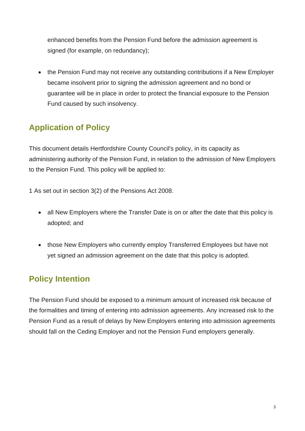enhanced benefits from the Pension Fund before the admission agreement is signed (for example, on redundancy);

• the Pension Fund may not receive any outstanding contributions if a New Employer became insolvent prior to signing the admission agreement and no bond or guarantee will be in place in order to protect the financial exposure to the Pension Fund caused by such insolvency.

# **Application of Policy**

This document details Hertfordshire County Council's policy, in its capacity as administering authority of the Pension Fund, in relation to the admission of New Employers to the Pension Fund. This policy will be applied to:

1 As set out in section 3(2) of the Pensions Act 2008.

- all New Employers where the Transfer Date is on or after the date that this policy is adopted; and
- those New Employers who currently employ Transferred Employees but have not yet signed an admission agreement on the date that this policy is adopted.

# **Policy Intention**

The Pension Fund should be exposed to a minimum amount of increased risk because of the formalities and timing of entering into admission agreements. Any increased risk to the Pension Fund as a result of delays by New Employers entering into admission agreements should fall on the Ceding Employer and not the Pension Fund employers generally.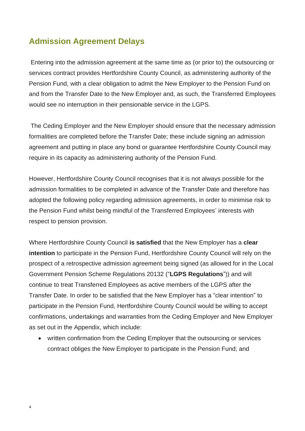## **Admission Agreement Delays**

Entering into the admission agreement at the same time as (or prior to) the outsourcing or services contract provides Hertfordshire County Council, as administering authority of the Pension Fund, with a clear obligation to admit the New Employer to the Pension Fund on and from the Transfer Date to the New Employer and, as such, the Transferred Employees would see no interruption in their pensionable service in the LGPS.

The Ceding Employer and the New Employer should ensure that the necessary admission formalities are completed before the Transfer Date; these include signing an admission agreement and putting in place any bond or guarantee Hertfordshire County Council may require in its capacity as administering authority of the Pension Fund.

However, Hertfordshire County Council recognises that it is not always possible for the admission formalities to be completed in advance of the Transfer Date and therefore has adopted the following policy regarding admission agreements, in order to minimise risk to the Pension Fund whilst being mindful of the Transferred Employees' interests with respect to pension provision.

Where Hertfordshire County Council **is satisfied** that the New Employer has a **clear intention** to participate in the Pension Fund, Hertfordshire County Council will rely on the prospect of a retrospective admission agreement being signed (as allowed for in the Local Government Pension Scheme Regulations 20132 ("**LGPS Regulations**")) and will continue to treat Transferred Employees as active members of the LGPS after the Transfer Date. In order to be satisfied that the New Employer has a "clear intention" to participate in the Pension Fund, Hertfordshire County Council would be willing to accept confirmations, undertakings and warranties from the Ceding Employer and New Employer as set out in the Appendix, which include:

• written confirmation from the Ceding Employer that the outsourcing or services contract obliges the New Employer to participate in the Pension Fund; and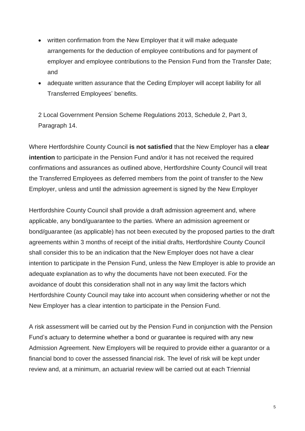- written confirmation from the New Employer that it will make adequate arrangements for the deduction of employee contributions and for payment of employer and employee contributions to the Pension Fund from the Transfer Date; and
- adequate written assurance that the Ceding Employer will accept liability for all Transferred Employees' benefits.

2 Local Government Pension Scheme Regulations 2013, Schedule 2, Part 3, Paragraph 14.

Where Hertfordshire County Council **is not satisfied** that the New Employer has a **clear intention** to participate in the Pension Fund and/or it has not received the required confirmations and assurances as outlined above, Hertfordshire County Council will treat the Transferred Employees as deferred members from the point of transfer to the New Employer, unless and until the admission agreement is signed by the New Employer

Hertfordshire County Council shall provide a draft admission agreement and, where applicable, any bond/guarantee to the parties. Where an admission agreement or bond/guarantee (as applicable) has not been executed by the proposed parties to the draft agreements within 3 months of receipt of the initial drafts, Hertfordshire County Council shall consider this to be an indication that the New Employer does not have a clear intention to participate in the Pension Fund, unless the New Employer is able to provide an adequate explanation as to why the documents have not been executed. For the avoidance of doubt this consideration shall not in any way limit the factors which Hertfordshire County Council may take into account when considering whether or not the New Employer has a clear intention to participate in the Pension Fund.

A risk assessment will be carried out by the Pension Fund in conjunction with the Pension Fund's actuary to determine whether a bond or guarantee is required with any new Admission Agreement. New Employers will be required to provide either a guarantor or a financial bond to cover the assessed financial risk. The level of risk will be kept under review and, at a minimum, an actuarial review will be carried out at each Triennial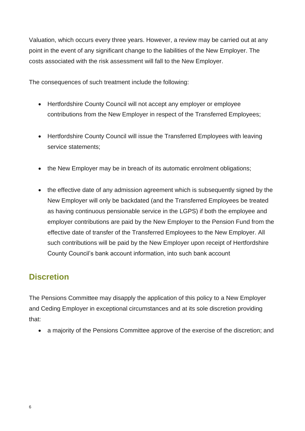Valuation, which occurs every three years. However, a review may be carried out at any point in the event of any significant change to the liabilities of the New Employer. The costs associated with the risk assessment will fall to the New Employer.

The consequences of such treatment include the following:

- Hertfordshire County Council will not accept any employer or employee contributions from the New Employer in respect of the Transferred Employees;
- Hertfordshire County Council will issue the Transferred Employees with leaving service statements;
- the New Employer may be in breach of its automatic enrolment obligations;
- the effective date of any admission agreement which is subsequently signed by the New Employer will only be backdated (and the Transferred Employees be treated as having continuous pensionable service in the LGPS) if both the employee and employer contributions are paid by the New Employer to the Pension Fund from the effective date of transfer of the Transferred Employees to the New Employer. All such contributions will be paid by the New Employer upon receipt of Hertfordshire County Council's bank account information, into such bank account

## **Discretion**

The Pensions Committee may disapply the application of this policy to a New Employer and Ceding Employer in exceptional circumstances and at its sole discretion providing that:

• a majority of the Pensions Committee approve of the exercise of the discretion; and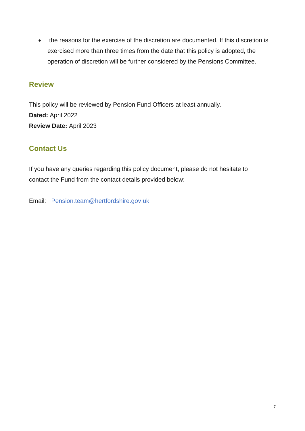• the reasons for the exercise of the discretion are documented. If this discretion is exercised more than three times from the date that this policy is adopted, the operation of discretion will be further considered by the Pensions Committee.

#### **Review**

This policy will be reviewed by Pension Fund Officers at least annually. **Dated:** April 2022 **Review Date:** April 2023

### **Contact Us**

If you have any queries regarding this policy document, please do not hesitate to contact the Fund from the contact details provided below:

Email: [Pension.team@hertfordshire.gov.uk](mailto:Pension.team@hertfordshire.gov.uk)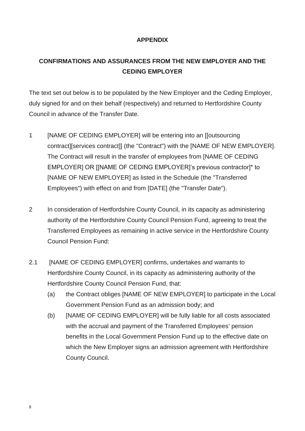#### **APPENDIX**

## **CONFIRMATIONS AND ASSURANCES FROM THE NEW EMPLOYER AND THE CEDING EMPLOYER**

The text set out below is to be populated by the New Employer and the Ceding Employer, duly signed for and on their behalf (respectively) and returned to Hertfordshire County Council in advance of the Transfer Date.

- 1 [NAME OF CEDING EMPLOYER] will be entering into an [[outsourcing contract][services contract]] (the "Contract") with the [NAME OF NEW EMPLOYER]. The Contract will result in the transfer of employees from [NAME OF CEDING EMPLOYER] OR [[NAME OF CEDING EMPLOYER]'s previous contractor]\* to [NAME OF NEW EMPLOYER] as listed in the Schedule (the "Transferred Employees") with effect on and from [DATE] (the "Transfer Date").
- 2 In consideration of Hertfordshire County Council, in its capacity as administering authority of the Hertfordshire County Council Pension Fund, agreeing to treat the Transferred Employees as remaining in active service in the Hertfordshire County Council Pension Fund:
- 2.1 [NAME OF CEDING EMPLOYER] confirms, undertakes and warrants to Hertfordshire County Council, in its capacity as administering authority of the Hertfordshire County Council Pension Fund, that:
	- (a) the Contract obliges [NAME OF NEW EMPLOYER] to participate in the Local Government Pension Fund as an admission body; and
	- (b) [NAME OF CEDING EMPLOYER] will be fully liable for all costs associated with the accrual and payment of the Transferred Employees' pension benefits in the Local Government Pension Fund up to the effective date on which the New Employer signs an admission agreement with Hertfordshire County Council.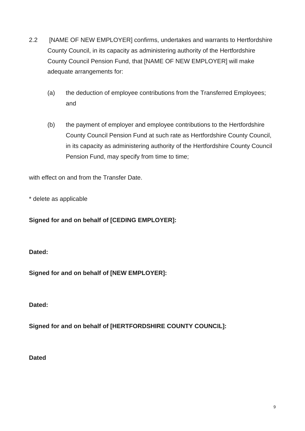- 2.2 [NAME OF NEW EMPLOYER] confirms, undertakes and warrants to Hertfordshire County Council, in its capacity as administering authority of the Hertfordshire County Council Pension Fund, that [NAME OF NEW EMPLOYER] will make adequate arrangements for:
	- (a) the deduction of employee contributions from the Transferred Employees; and
	- (b) the payment of employer and employee contributions to the Hertfordshire County Council Pension Fund at such rate as Hertfordshire County Council, in its capacity as administering authority of the Hertfordshire County Council Pension Fund, may specify from time to time;

with effect on and from the Transfer Date.

\* delete as applicable

**Signed for and on behalf of [CEDING EMPLOYER]:** 

**Dated:**

**Signed for and on behalf of [NEW EMPLOYER]:** 

**Dated:** 

**Signed for and on behalf of [HERTFORDSHIRE COUNTY COUNCIL]:**

**Dated**